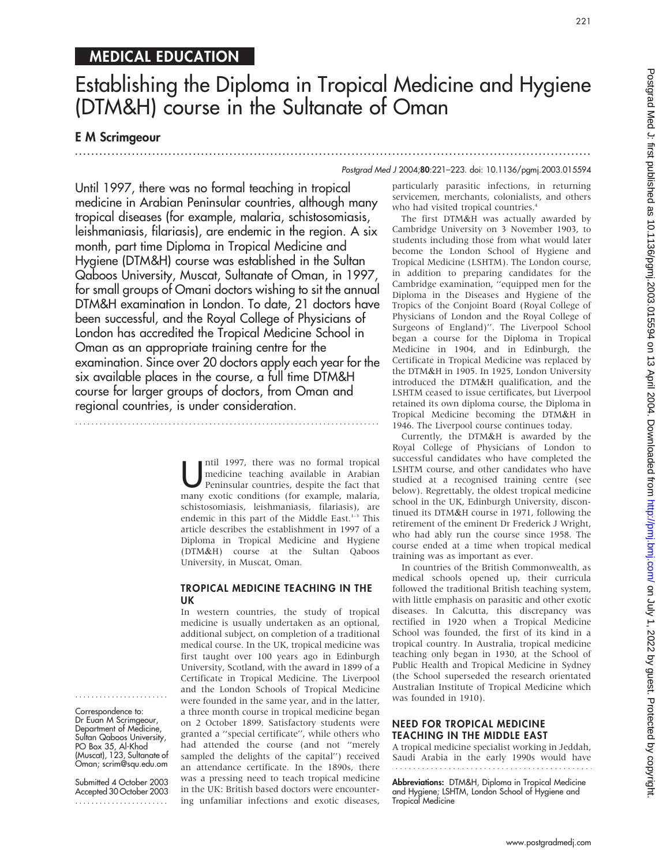# MEDICAL EDUCATION

# Establishing the Diploma in Tropical Medicine and Hygiene (DTM&H) course in the Sultanate of Oman

.............................................................................................................................. .

# E M Scrimgeour

#### Postgrad Med J 2004;80:221–223. doi: 10.1136/pgmj.2003.015594

Until 1997, there was no formal teaching in tropical medicine in Arabian Peninsular countries, although many tropical diseases (for example, malaria, schistosomiasis, leishmaniasis, filariasis), are endemic in the region. A six month, part time Diploma in Tropical Medicine and Hygiene (DTM&H) course was established in the Sultan Qaboos University, Muscat, Sultanate of Oman, in 1997, for small groups of Omani doctors wishing to sit the annual DTM&H examination in London. To date, 21 doctors have been successful, and the Royal College of Physicians of London has accredited the Tropical Medicine School in Oman as an appropriate training centre for the examination. Since over 20 doctors apply each year for the six available places in the course, a full time DTM&H course for larger groups of doctors, from Oman and regional countries, is under consideration.

...........................................................................

Intil 1997, there was no formal tropical<br>
medicine teaching available in Arabian<br>
Peninsular countries, despite the fact that medicine teaching available in Arabian many exotic conditions (for example, malaria, schistosomiasis, leishmaniasis, filariasis), are endemic in this part of the Middle East.<sup>1-3</sup> This article describes the establishment in 1997 of a Diploma in Tropical Medicine and Hygiene (DTM&H) course at the Sultan Qaboos University, in Muscat, Oman.

#### TROPICAL MEDICINE TEACHING IN THE UK

In western countries, the study of tropical medicine is usually undertaken as an optional, additional subject, on completion of a traditional medical course. In the UK, tropical medicine was first taught over 100 years ago in Edinburgh University, Scotland, with the award in 1899 of a Certificate in Tropical Medicine. The Liverpool and the London Schools of Tropical Medicine were founded in the same year, and in the latter, a three month course in tropical medicine began on 2 October 1899. Satisfactory students were granted a ''special certificate'', while others who had attended the course (and not ''merely sampled the delights of the capital'') received an attendance certificate. In the 1890s, there was a pressing need to teach tropical medicine in the UK: British based doctors were encountering unfamiliar infections and exotic diseases, particularly parasitic infections, in returning servicemen, merchants, colonialists, and others who had visited tropical countries.<sup>4</sup>

The first DTM&H was actually awarded by Cambridge University on 3 November 1903, to students including those from what would later become the London School of Hygiene and Tropical Medicine (LSHTM). The London course, in addition to preparing candidates for the Cambridge examination, ''equipped men for the Diploma in the Diseases and Hygiene of the Tropics of the Conjoint Board (Royal College of Physicians of London and the Royal College of Surgeons of England)''. The Liverpool School began a course for the Diploma in Tropical Medicine in 1904, and in Edinburgh, the Certificate in Tropical Medicine was replaced by the DTM&H in 1905. In 1925, London University introduced the DTM&H qualification, and the LSHTM ceased to issue certificates, but Liverpool retained its own diploma course, the Diploma in Tropical Medicine becoming the DTM&H in 1946. The Liverpool course continues today.

Currently, the DTM&H is awarded by the Royal College of Physicians of London to successful candidates who have completed the LSHTM course, and other candidates who have studied at a recognised training centre (see below). Regrettably, the oldest tropical medicine school in the UK, Edinburgh University, discontinued its DTM&H course in 1971, following the retirement of the eminent Dr Frederick J Wright, who had ably run the course since 1958. The course ended at a time when tropical medical training was as important as ever.

In countries of the British Commonwealth, as medical schools opened up, their curricula followed the traditional British teaching system, with little emphasis on parasitic and other exotic diseases. In Calcutta, this discrepancy was rectified in 1920 when a Tropical Medicine School was founded, the first of its kind in a tropical country. In Australia, tropical medicine teaching only began in 1930, at the School of Public Health and Tropical Medicine in Sydney (the School superseded the research orientated Australian Institute of Tropical Medicine which was founded in 1910).

### NEED FOR TROPICAL MEDICINE TEACHING IN THE MIDDLE EAST

A tropical medicine specialist working in Jeddah, Saudi Arabia in the early 1990s would have . . . . . . . . . . . . . . . . . . . .

Abbreviations: DTM&H, Diploma in Tropical Medicine and Hygiene; LSHTM, London School of Hygiene and Tropical Medicine

Correspondence to: Dr Euan M Scrimgeour, Department of Medicine, Sultan Qaboos University, PO Box 35, Al-Khod (Muscat), 123, Sultanate of Oman; scrim@squ.edu.om

.......................

Submitted 4 October 2003 Accepted 30 October 2003 .......................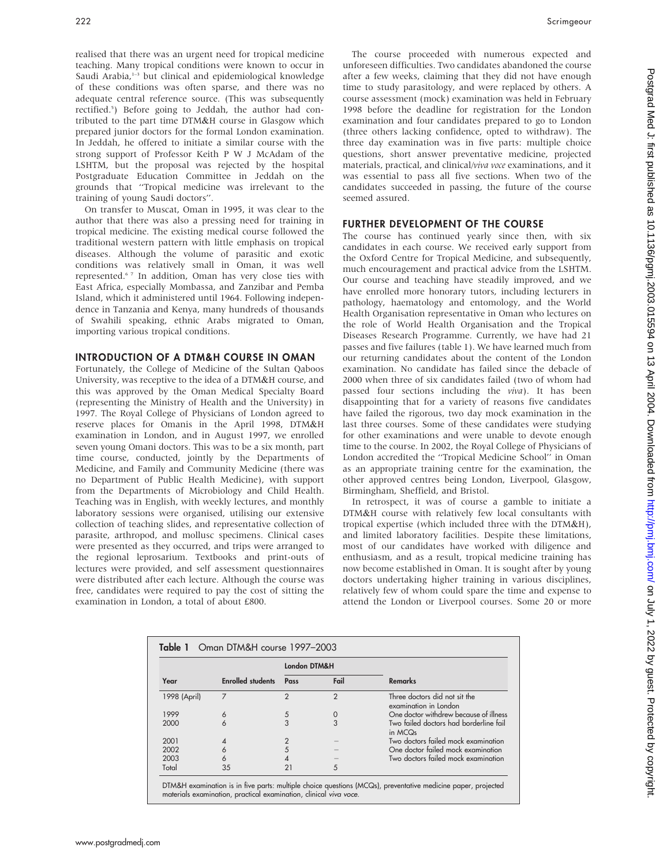realised that there was an urgent need for tropical medicine teaching. Many tropical conditions were known to occur in Saudi Arabia,<sup>1-3</sup> but clinical and epidemiological knowledge of these conditions was often sparse, and there was no adequate central reference source. (This was subsequently rectified.<sup>5</sup>) Before going to Jeddah, the author had contributed to the part time DTM&H course in Glasgow which prepared junior doctors for the formal London examination. In Jeddah, he offered to initiate a similar course with the strong support of Professor Keith P W J McAdam of the LSHTM, but the proposal was rejected by the hospital Postgraduate Education Committee in Jeddah on the grounds that ''Tropical medicine was irrelevant to the training of young Saudi doctors''.

On transfer to Muscat, Oman in 1995, it was clear to the author that there was also a pressing need for training in tropical medicine. The existing medical course followed the traditional western pattern with little emphasis on tropical diseases. Although the volume of parasitic and exotic conditions was relatively small in Oman, it was well represented.6 7 In addition, Oman has very close ties with East Africa, especially Mombassa, and Zanzibar and Pemba Island, which it administered until 1964. Following independence in Tanzania and Kenya, many hundreds of thousands of Swahili speaking, ethnic Arabs migrated to Oman, importing various tropical conditions.

#### INTRODUCTION OF A DTM&H COURSE IN OMAN

Fortunately, the College of Medicine of the Sultan Qaboos University, was receptive to the idea of a DTM&H course, and this was approved by the Oman Medical Specialty Board (representing the Ministry of Health and the University) in 1997. The Royal College of Physicians of London agreed to reserve places for Omanis in the April 1998, DTM&H examination in London, and in August 1997, we enrolled seven young Omani doctors. This was to be a six month, part time course, conducted, jointly by the Departments of Medicine, and Family and Community Medicine (there was no Department of Public Health Medicine), with support from the Departments of Microbiology and Child Health. Teaching was in English, with weekly lectures, and monthly laboratory sessions were organised, utilising our extensive collection of teaching slides, and representative collection of parasite, arthropod, and mollusc specimens. Clinical cases were presented as they occurred, and trips were arranged to the regional leprosarium. Textbooks and print-outs of lectures were provided, and self assessment questionnaires were distributed after each lecture. Although the course was free, candidates were required to pay the cost of sitting the examination in London, a total of about £800.

Postgrad Med J: first published as 10.1136/pgmj.2003.015594 on 13 April 2004. Downloaded from http://pmj.bmj.com/ on July 1, 2022 by guest. Protected by copyright Postgrad Med J: first published as 10.1136/pgmj.2003.015594 on 13 April 2004. Downloaded from Hom J.pmj.com/ on July 1, 2022 by guest. Protected by copyright.

The course proceeded with numerous expected and unforeseen difficulties. Two candidates abandoned the course after a few weeks, claiming that they did not have enough time to study parasitology, and were replaced by others. A course assessment (mock) examination was held in February 1998 before the deadline for registration for the London examination and four candidates prepared to go to London (three others lacking confidence, opted to withdraw). The three day examination was in five parts: multiple choice questions, short answer preventative medicine, projected materials, practical, and clinical/viva voce examinations, and it was essential to pass all five sections. When two of the candidates succeeded in passing, the future of the course seemed assured.

#### FURTHER DEVELOPMENT OF THE COURSE

The course has continued yearly since then, with six candidates in each course. We received early support from the Oxford Centre for Tropical Medicine, and subsequently, much encouragement and practical advice from the LSHTM. Our course and teaching have steadily improved, and we have enrolled more honorary tutors, including lecturers in pathology, haematology and entomology, and the World Health Organisation representative in Oman who lectures on the role of World Health Organisation and the Tropical Diseases Research Programme. Currently, we have had 21 passes and five failures (table 1). We have learned much from our returning candidates about the content of the London examination. No candidate has failed since the debacle of 2000 when three of six candidates failed (two of whom had passed four sections including the viva). It has been disappointing that for a variety of reasons five candidates have failed the rigorous, two day mock examination in the last three courses. Some of these candidates were studying for other examinations and were unable to devote enough time to the course. In 2002, the Royal College of Physicians of London accredited the ''Tropical Medicine School'' in Oman as an appropriate training centre for the examination, the other approved centres being London, Liverpool, Glasgow, Birmingham, Sheffield, and Bristol.

In retrospect, it was of course a gamble to initiate a DTM&H course with relatively few local consultants with tropical expertise (which included three with the DTM&H), and limited laboratory facilities. Despite these limitations, most of our candidates have worked with diligence and enthusiasm, and as a result, tropical medicine training has now become established in Oman. It is sought after by young doctors undertaking higher training in various disciplines, relatively few of whom could spare the time and expense to attend the London or Liverpool courses. Some 20 or more

| Table 1 Oman DTM&H course 1997-2003 |                          |               |               |                                                               |
|-------------------------------------|--------------------------|---------------|---------------|---------------------------------------------------------------|
| Year                                | <b>Enrolled students</b> | London DTM&H  |               |                                                               |
|                                     |                          | Pass          | Fail          | <b>Remarks</b>                                                |
| 1998 (April)                        |                          | $\mathcal{P}$ | $\mathcal{P}$ | Three doctors did not sit the<br>examination in London        |
| 1999                                | 6                        | 5             |               | One doctor withdrew because of illness                        |
| 2000                                | 6                        |               | 3             | Two failed doctors had borderline fail<br>in MCQ <sub>s</sub> |
| 2001                                |                          |               |               | Two doctors failed mock examination                           |
| 2002                                | 6                        |               |               | One doctor failed mock examination                            |
| 2003                                | 6                        |               |               | Two doctors failed mock examination                           |
| Total                               | 35                       |               | 5             |                                                               |

DTM&H examination is in five parts: multiple choice questions (MCQs), preventative medicine paper, projected materials examination, practical examination, clinical viva voce.